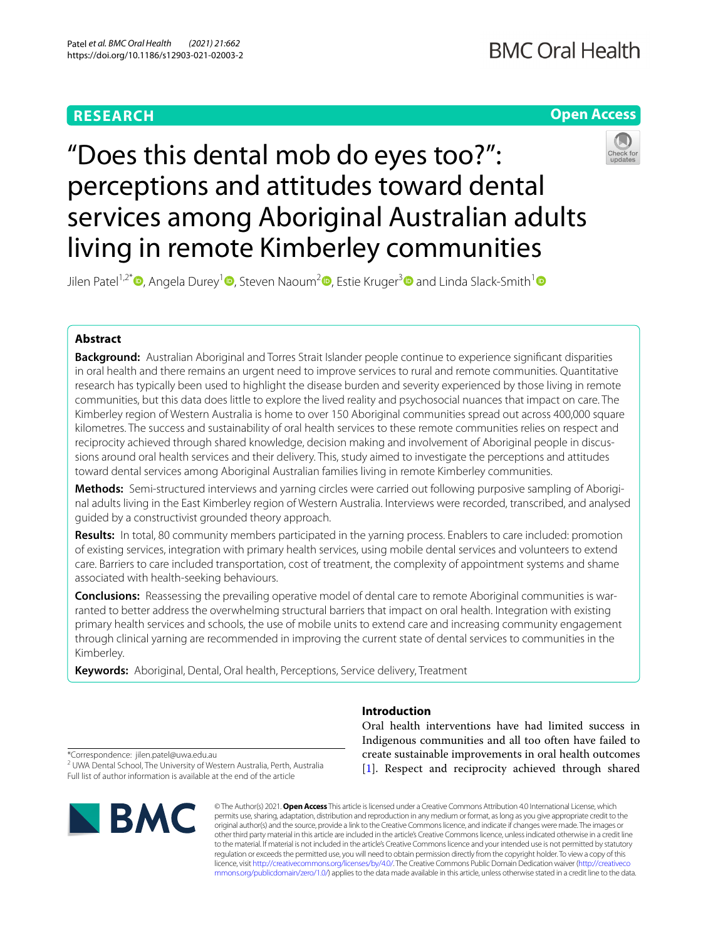# **RESEARCH**

## **Open Access**



living in remote Kimberley communities Jilen Patel<sup>1[,](https://orcid.org/0000-0001-6382-753X)2\*</sup>  $\bullet$ [,](https://orcid.org/0000-0003-4388-753X) Angela Durey<sup>[1](https://orcid.org/0000-0001-5859-7055)</sup>  $\bullet$ , Steven Naoum<sup>2</sup>  $\bullet$ , Estie Kruger<sup>[3](https://orcid.org/0000-0002-4883-6793)</sup>  $\bullet$  and Linda Slack-Smith<sup>1</sup>  $\bullet$ 

services among Aboriginal Australian adults

perceptions and attitudes toward dental

"Does this dental mob do eyes too?":

## **Abstract**

**Background:** Australian Aboriginal and Torres Strait Islander people continue to experience signifcant disparities in oral health and there remains an urgent need to improve services to rural and remote communities. Quantitative research has typically been used to highlight the disease burden and severity experienced by those living in remote communities, but this data does little to explore the lived reality and psychosocial nuances that impact on care. The Kimberley region of Western Australia is home to over 150 Aboriginal communities spread out across 400,000 square kilometres. The success and sustainability of oral health services to these remote communities relies on respect and reciprocity achieved through shared knowledge, decision making and involvement of Aboriginal people in discussions around oral health services and their delivery. This, study aimed to investigate the perceptions and attitudes toward dental services among Aboriginal Australian families living in remote Kimberley communities.

**Methods:** Semi-structured interviews and yarning circles were carried out following purposive sampling of Aborigi‑ nal adults living in the East Kimberley region of Western Australia. Interviews were recorded, transcribed, and analysed guided by a constructivist grounded theory approach.

**Results:** In total, 80 community members participated in the yarning process. Enablers to care included: promotion of existing services, integration with primary health services, using mobile dental services and volunteers to extend care. Barriers to care included transportation, cost of treatment, the complexity of appointment systems and shame associated with health-seeking behaviours.

**Conclusions:** Reassessing the prevailing operative model of dental care to remote Aboriginal communities is warranted to better address the overwhelming structural barriers that impact on oral health. Integration with existing primary health services and schools, the use of mobile units to extend care and increasing community engagement through clinical yarning are recommended in improving the current state of dental services to communities in the Kimberley.

**Keywords:** Aboriginal, Dental, Oral health, Perceptions, Service delivery, Treatment

**Introduction**

Oral health interventions have had limited success in Indigenous communities and all too often have failed to create sustainable improvements in oral health outcomes [[1\]](#page-10-0). Respect and reciprocity achieved through shared

\*Correspondence: jilen.patel@uwa.edu.au

<sup>2</sup> UWA Dental School, The University of Western Australia, Perth, Australia Full list of author information is available at the end of the article



© The Author(s) 2021. **Open Access** This article is licensed under a Creative Commons Attribution 4.0 International License, which permits use, sharing, adaptation, distribution and reproduction in any medium or format, as long as you give appropriate credit to the original author(s) and the source, provide a link to the Creative Commons licence, and indicate if changes were made. The images or other third party material in this article are included in the article's Creative Commons licence, unless indicated otherwise in a credit line to the material. If material is not included in the article's Creative Commons licence and your intended use is not permitted by statutory regulation or exceeds the permitted use, you will need to obtain permission directly from the copyright holder. To view a copy of this licence, visit [http://creativecommons.org/licenses/by/4.0/.](http://creativecommons.org/licenses/by/4.0/) The Creative Commons Public Domain Dedication waiver ([http://creativeco](http://creativecommons.org/publicdomain/zero/1.0/) [mmons.org/publicdomain/zero/1.0/](http://creativecommons.org/publicdomain/zero/1.0/)) applies to the data made available in this article, unless otherwise stated in a credit line to the data.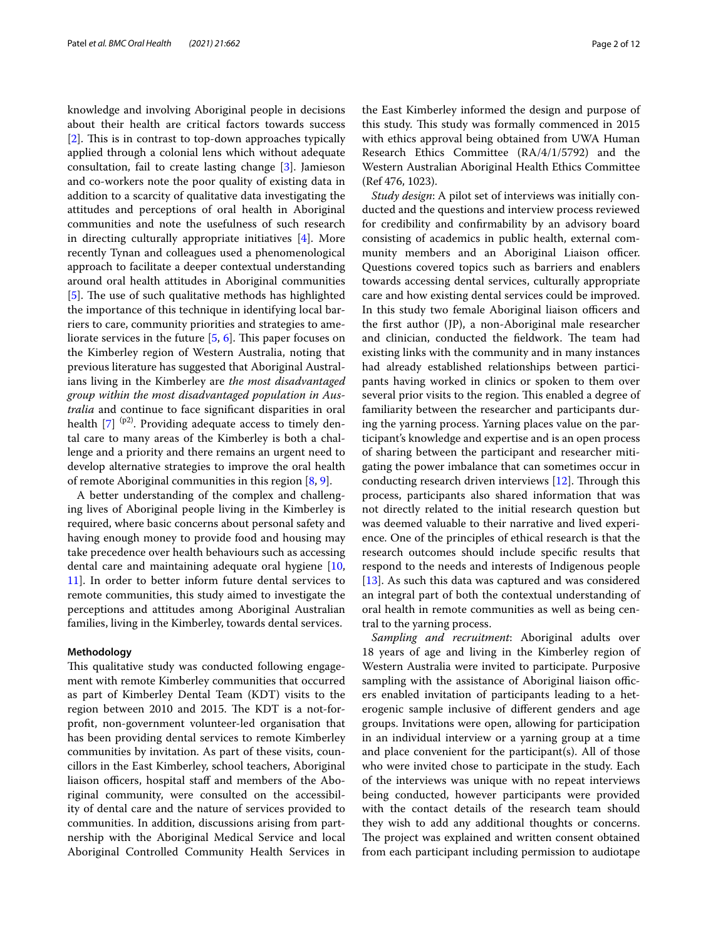knowledge and involving Aboriginal people in decisions about their health are critical factors towards success  $[2]$  $[2]$ . This is in contrast to top-down approaches typically applied through a colonial lens which without adequate consultation, fail to create lasting change [[3\]](#page-10-2). Jamieson and co-workers note the poor quality of existing data in addition to a scarcity of qualitative data investigating the attitudes and perceptions of oral health in Aboriginal communities and note the usefulness of such research in directing culturally appropriate initiatives [\[4](#page-10-3)]. More recently Tynan and colleagues used a phenomenological approach to facilitate a deeper contextual understanding around oral health attitudes in Aboriginal communities [[5\]](#page-10-4). The use of such qualitative methods has highlighted the importance of this technique in identifying local barriers to care, community priorities and strategies to ameliorate services in the future  $[5, 6]$  $[5, 6]$  $[5, 6]$ . This paper focuses on the Kimberley region of Western Australia, noting that previous literature has suggested that Aboriginal Australians living in the Kimberley are *the most disadvantaged group within the most disadvantaged population in Australia* and continue to face signifcant disparities in oral health  $[7]$  <sup>(p2)</sup>. Providing adequate access to timely dental care to many areas of the Kimberley is both a challenge and a priority and there remains an urgent need to develop alternative strategies to improve the oral health of remote Aboriginal communities in this region [[8,](#page-10-7) [9](#page-10-8)].

A better understanding of the complex and challenging lives of Aboriginal people living in the Kimberley is required, where basic concerns about personal safety and having enough money to provide food and housing may take precedence over health behaviours such as accessing dental care and maintaining adequate oral hygiene [\[10](#page-10-9), [11\]](#page-10-10). In order to better inform future dental services to remote communities, this study aimed to investigate the perceptions and attitudes among Aboriginal Australian families, living in the Kimberley, towards dental services.

#### **Methodology**

This qualitative study was conducted following engagement with remote Kimberley communities that occurred as part of Kimberley Dental Team (KDT) visits to the region between 2010 and 2015. The KDT is a not-forproft, non-government volunteer-led organisation that has been providing dental services to remote Kimberley communities by invitation. As part of these visits, councillors in the East Kimberley, school teachers, Aboriginal liaison officers, hospital staff and members of the Aboriginal community, were consulted on the accessibility of dental care and the nature of services provided to communities. In addition, discussions arising from partnership with the Aboriginal Medical Service and local Aboriginal Controlled Community Health Services in the East Kimberley informed the design and purpose of this study. This study was formally commenced in 2015 with ethics approval being obtained from UWA Human Research Ethics Committee (RA/4/1/5792) and the Western Australian Aboriginal Health Ethics Committee (Ref 476, 1023).

*Study design*: A pilot set of interviews was initially conducted and the questions and interview process reviewed for credibility and confrmability by an advisory board consisting of academics in public health, external community members and an Aboriginal Liaison officer. Questions covered topics such as barriers and enablers towards accessing dental services, culturally appropriate care and how existing dental services could be improved. In this study two female Aboriginal liaison officers and the frst author (JP), a non-Aboriginal male researcher and clinician, conducted the fieldwork. The team had existing links with the community and in many instances had already established relationships between participants having worked in clinics or spoken to them over several prior visits to the region. This enabled a degree of familiarity between the researcher and participants during the yarning process. Yarning places value on the participant's knowledge and expertise and is an open process of sharing between the participant and researcher mitigating the power imbalance that can sometimes occur in conducting research driven interviews  $[12]$  $[12]$ . Through this process, participants also shared information that was not directly related to the initial research question but was deemed valuable to their narrative and lived experience. One of the principles of ethical research is that the research outcomes should include specifc results that respond to the needs and interests of Indigenous people [[13\]](#page-10-12). As such this data was captured and was considered an integral part of both the contextual understanding of oral health in remote communities as well as being central to the yarning process.

*Sampling and recruitment*: Aboriginal adults over 18 years of age and living in the Kimberley region of Western Australia were invited to participate. Purposive sampling with the assistance of Aboriginal liaison officers enabled invitation of participants leading to a heterogenic sample inclusive of diferent genders and age groups. Invitations were open, allowing for participation in an individual interview or a yarning group at a time and place convenient for the participant(s). All of those who were invited chose to participate in the study. Each of the interviews was unique with no repeat interviews being conducted, however participants were provided with the contact details of the research team should they wish to add any additional thoughts or concerns. The project was explained and written consent obtained from each participant including permission to audiotape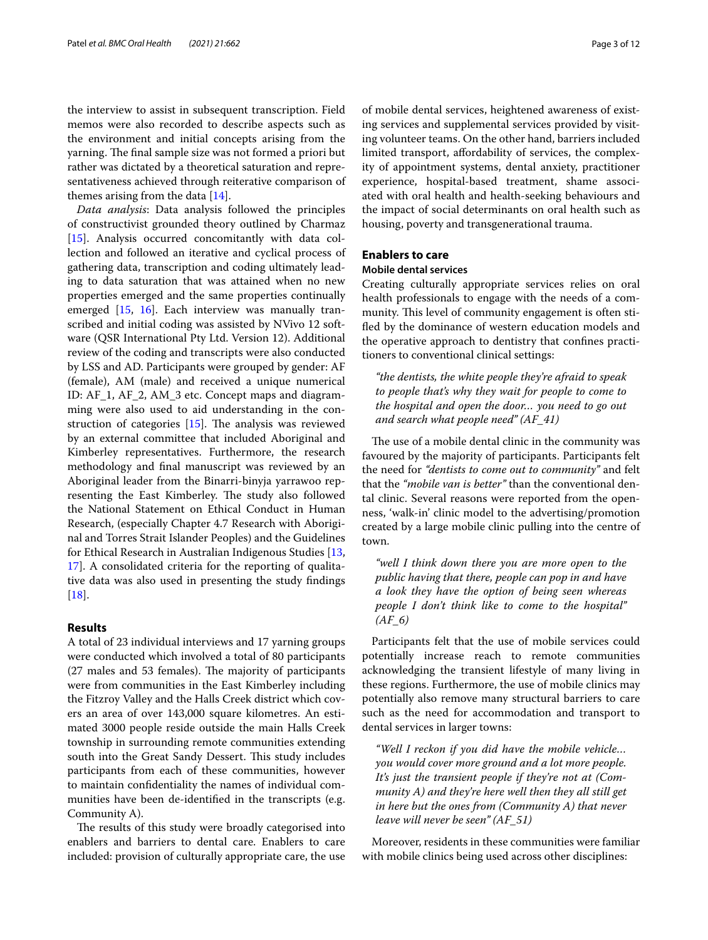the interview to assist in subsequent transcription. Field memos were also recorded to describe aspects such as the environment and initial concepts arising from the yarning. The final sample size was not formed a priori but rather was dictated by a theoretical saturation and representativeness achieved through reiterative comparison of themes arising from the data [\[14](#page-10-13)].

*Data analysis*: Data analysis followed the principles of constructivist grounded theory outlined by Charmaz [[15\]](#page-10-14). Analysis occurred concomitantly with data collection and followed an iterative and cyclical process of gathering data, transcription and coding ultimately leading to data saturation that was attained when no new properties emerged and the same properties continually emerged [\[15](#page-10-14), [16](#page-10-15)]. Each interview was manually transcribed and initial coding was assisted by NVivo 12 software (QSR International Pty Ltd. Version 12). Additional review of the coding and transcripts were also conducted by LSS and AD. Participants were grouped by gender: AF (female), AM (male) and received a unique numerical ID: AF\_1, AF\_2, AM\_3 etc. Concept maps and diagramming were also used to aid understanding in the construction of categories  $[15]$  $[15]$ . The analysis was reviewed by an external committee that included Aboriginal and Kimberley representatives. Furthermore, the research methodology and fnal manuscript was reviewed by an Aboriginal leader from the Binarri-binyja yarrawoo representing the East Kimberley. The study also followed the National Statement on Ethical Conduct in Human Research, (especially Chapter 4.7 Research with Aboriginal and Torres Strait Islander Peoples) and the Guidelines for Ethical Research in Australian Indigenous Studies [\[13](#page-10-12), [17\]](#page-10-16). A consolidated criteria for the reporting of qualitative data was also used in presenting the study fndings [[18\]](#page-10-17).

## **Results**

A total of 23 individual interviews and 17 yarning groups were conducted which involved a total of 80 participants (27 males and 53 females). The majority of participants were from communities in the East Kimberley including the Fitzroy Valley and the Halls Creek district which covers an area of over 143,000 square kilometres. An estimated 3000 people reside outside the main Halls Creek township in surrounding remote communities extending south into the Great Sandy Dessert. This study includes participants from each of these communities, however to maintain confdentiality the names of individual communities have been de-identifed in the transcripts (e.g. Community A).

The results of this study were broadly categorised into enablers and barriers to dental care. Enablers to care included: provision of culturally appropriate care, the use of mobile dental services, heightened awareness of existing services and supplemental services provided by visiting volunteer teams. On the other hand, barriers included limited transport, afordability of services, the complexity of appointment systems, dental anxiety, practitioner experience, hospital-based treatment, shame associated with oral health and health-seeking behaviours and the impact of social determinants on oral health such as housing, poverty and transgenerational trauma.

#### **Enablers to care**

#### **Mobile dental services**

Creating culturally appropriate services relies on oral health professionals to engage with the needs of a community. This level of community engagement is often stifed by the dominance of western education models and the operative approach to dentistry that confnes practitioners to conventional clinical settings:

*"the dentists, the white people they're afraid to speak to people that's why they wait for people to come to the hospital and open the door… you need to go out and search what people need" (AF\_41)*

The use of a mobile dental clinic in the community was favoured by the majority of participants. Participants felt the need for *"dentists to come out to community"* and felt that the *"mobile van is better"* than the conventional dental clinic. Several reasons were reported from the openness, 'walk-in' clinic model to the advertising/promotion created by a large mobile clinic pulling into the centre of town.

*"well I think down there you are more open to the public having that there, people can pop in and have a look they have the option of being seen whereas people I don't think like to come to the hospital" (AF\_6)*

Participants felt that the use of mobile services could potentially increase reach to remote communities acknowledging the transient lifestyle of many living in these regions. Furthermore, the use of mobile clinics may potentially also remove many structural barriers to care such as the need for accommodation and transport to dental services in larger towns:

*"Well I reckon if you did have the mobile vehicle… you would cover more ground and a lot more people. It's just the transient people if they're not at (Community A) and they're here well then they all still get in here but the ones from (Community A) that never leave will never be seen" (AF\_51)*

Moreover, residents in these communities were familiar with mobile clinics being used across other disciplines: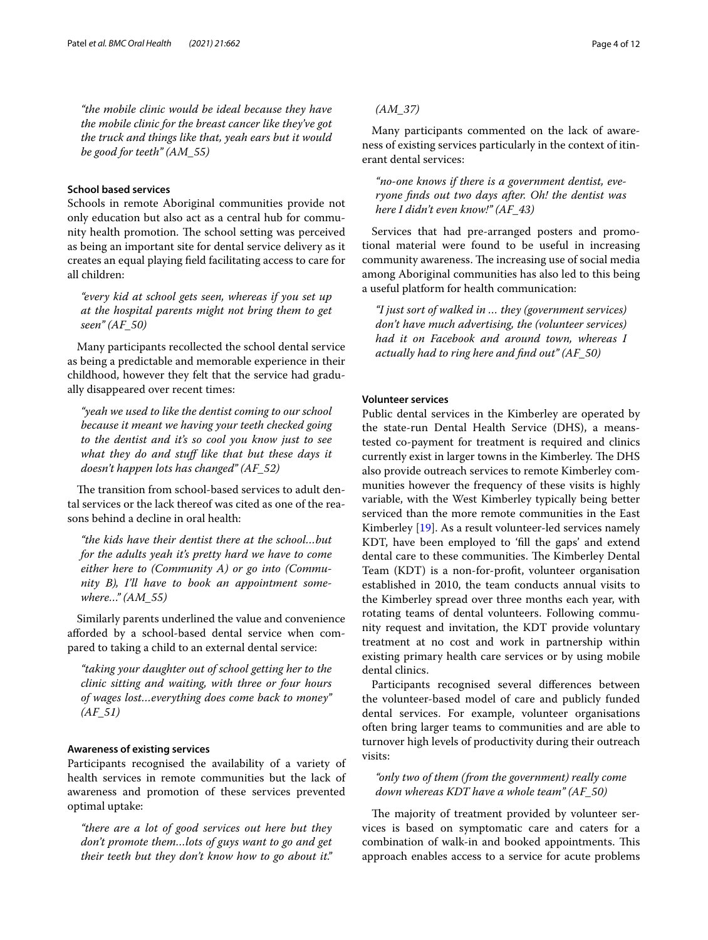*"the mobile clinic would be ideal because they have the mobile clinic for the breast cancer like they've got the truck and things like that, yeah ears but it would be good for teeth" (AM\_55)*

## **School based services**

Schools in remote Aboriginal communities provide not only education but also act as a central hub for community health promotion. The school setting was perceived as being an important site for dental service delivery as it creates an equal playing feld facilitating access to care for all children:

*"every kid at school gets seen, whereas if you set up at the hospital parents might not bring them to get seen" (AF\_50)*

Many participants recollected the school dental service as being a predictable and memorable experience in their childhood, however they felt that the service had gradually disappeared over recent times:

*"yeah we used to like the dentist coming to our school because it meant we having your teeth checked going to the dentist and it's so cool you know just to see what they do and stuf like that but these days it doesn't happen lots has changed" (AF\_52)*

The transition from school-based services to adult dental services or the lack thereof was cited as one of the reasons behind a decline in oral health:

*"the kids have their dentist there at the school…but for the adults yeah it's pretty hard we have to come either here to (Community A) or go into (Community B), I'll have to book an appointment somewhere…" (AM\_55)*

Similarly parents underlined the value and convenience aforded by a school-based dental service when compared to taking a child to an external dental service:

*"taking your daughter out of school getting her to the clinic sitting and waiting, with three or four hours of wages lost…everything does come back to money" (AF\_51)*

#### **Awareness of existing services**

Participants recognised the availability of a variety of health services in remote communities but the lack of awareness and promotion of these services prevented optimal uptake:

*"there are a lot of good services out here but they don't promote them…lots of guys want to go and get their teeth but they don't know how to go about it."* 

## *(AM\_37)*

Many participants commented on the lack of awareness of existing services particularly in the context of itinerant dental services:

*"no-one knows if there is a government dentist, everyone fnds out two days after. Oh! the dentist was here I didn't even know!" (AF\_43)*

Services that had pre-arranged posters and promotional material were found to be useful in increasing community awareness. The increasing use of social media among Aboriginal communities has also led to this being a useful platform for health communication:

*"I just sort of walked in … they (government services) don't have much advertising, the (volunteer services) had it on Facebook and around town, whereas I actually had to ring here and fnd out" (AF\_50)*

## **Volunteer services**

Public dental services in the Kimberley are operated by the state-run Dental Health Service (DHS), a meanstested co-payment for treatment is required and clinics currently exist in larger towns in the Kimberley. The DHS also provide outreach services to remote Kimberley communities however the frequency of these visits is highly variable, with the West Kimberley typically being better serviced than the more remote communities in the East Kimberley [\[19\]](#page-10-18). As a result volunteer-led services namely KDT, have been employed to 'fll the gaps' and extend dental care to these communities. The Kimberley Dental Team (KDT) is a non-for-proft, volunteer organisation established in 2010, the team conducts annual visits to the Kimberley spread over three months each year, with rotating teams of dental volunteers. Following community request and invitation, the KDT provide voluntary treatment at no cost and work in partnership within existing primary health care services or by using mobile dental clinics.

Participants recognised several diferences between the volunteer-based model of care and publicly funded dental services. For example, volunteer organisations often bring larger teams to communities and are able to turnover high levels of productivity during their outreach visits:

*"only two of them (from the government) really come down whereas KDT have a whole team" (AF\_50)*

The majority of treatment provided by volunteer services is based on symptomatic care and caters for a combination of walk-in and booked appointments. This approach enables access to a service for acute problems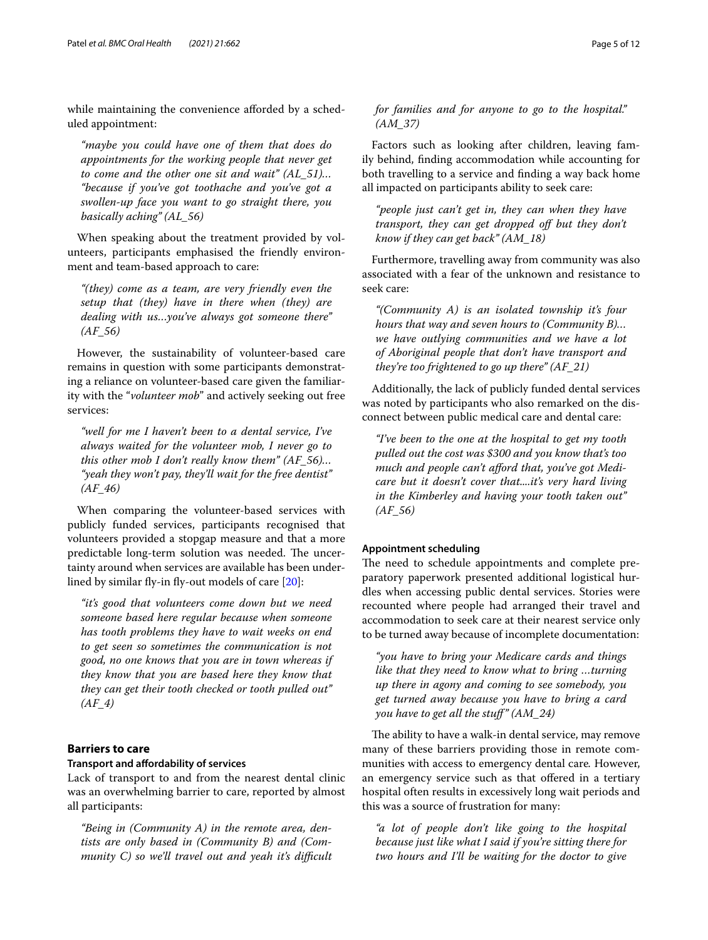while maintaining the convenience afforded by a scheduled appointment:

*"maybe you could have one of them that does do appointments for the working people that never get to come and the other one sit and wait" (AL\_51)… "because if you've got toothache and you've got a swollen-up face you want to go straight there, you basically aching" (AL\_56)*

When speaking about the treatment provided by volunteers, participants emphasised the friendly environment and team-based approach to care:

*"(they) come as a team, are very friendly even the setup that (they) have in there when (they) are dealing with us…you've always got someone there" (AF\_56)*

However, the sustainability of volunteer-based care remains in question with some participants demonstrating a reliance on volunteer-based care given the familiarity with the "*volunteer mob*" and actively seeking out free services:

*"well for me I haven't been to a dental service, I've always waited for the volunteer mob, I never go to this other mob I don't really know them" (AF\_56)… "yeah they won't pay, they'll wait for the free dentist" (AF\_46)*

When comparing the volunteer-based services with publicly funded services, participants recognised that volunteers provided a stopgap measure and that a more predictable long-term solution was needed. The uncertainty around when services are available has been underlined by similar fy-in fy-out models of care [\[20](#page-10-19)]:

*"it's good that volunteers come down but we need someone based here regular because when someone has tooth problems they have to wait weeks on end to get seen so sometimes the communication is not good, no one knows that you are in town whereas if they know that you are based here they know that they can get their tooth checked or tooth pulled out" (AF\_4)*

## **Barriers to care**

## **Transport and afordability of services**

Lack of transport to and from the nearest dental clinic was an overwhelming barrier to care, reported by almost all participants:

*"Being in (Community A) in the remote area, dentists are only based in (Community B) and (Com*munity C) so we'll travel out and yeah it's difficult *for families and for anyone to go to the hospital." (AM\_37)*

Factors such as looking after children, leaving family behind, fnding accommodation while accounting for both travelling to a service and fnding a way back home all impacted on participants ability to seek care:

*"people just can't get in, they can when they have transport, they can get dropped of but they don't know if they can get back" (AM\_18)*

Furthermore, travelling away from community was also associated with a fear of the unknown and resistance to seek care:

*"(Community A) is an isolated township it's four hours that way and seven hours to (Community B)… we have outlying communities and we have a lot of Aboriginal people that don't have transport and they're too frightened to go up there" (AF\_21)*

Additionally, the lack of publicly funded dental services was noted by participants who also remarked on the disconnect between public medical care and dental care:

*"I've been to the one at the hospital to get my tooth pulled out the cost was \$300 and you know that's too much and people can't aford that, you've got Medicare but it doesn't cover that....it's very hard living in the Kimberley and having your tooth taken out" (AF\_56)*

#### **Appointment scheduling**

The need to schedule appointments and complete preparatory paperwork presented additional logistical hurdles when accessing public dental services. Stories were recounted where people had arranged their travel and accommodation to seek care at their nearest service only to be turned away because of incomplete documentation:

*"you have to bring your Medicare cards and things like that they need to know what to bring …turning up there in agony and coming to see somebody, you get turned away because you have to bring a card you have to get all the stuf" (AM\_24)*

The ability to have a walk-in dental service, may remove many of these barriers providing those in remote communities with access to emergency dental care*.* However, an emergency service such as that offered in a tertiary hospital often results in excessively long wait periods and this was a source of frustration for many:

*"a lot of people don't like going to the hospital because just like what I said if you're sitting there for two hours and I'll be waiting for the doctor to give*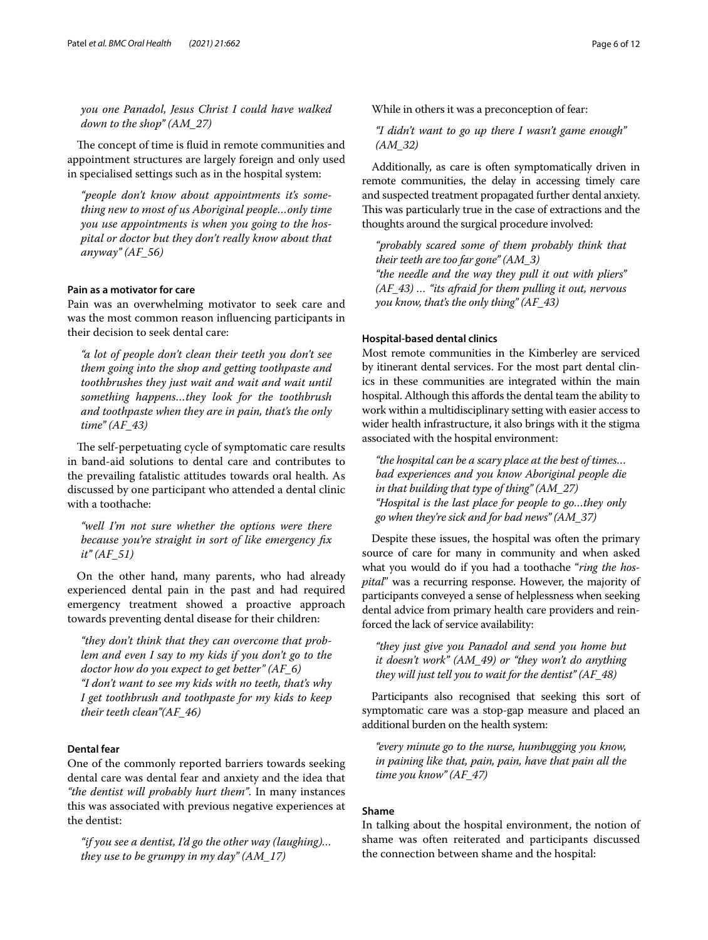*you one Panadol, Jesus Christ I could have walked down to the shop" (AM\_27)*

The concept of time is fluid in remote communities and appointment structures are largely foreign and only used in specialised settings such as in the hospital system:

*"people don't know about appointments it's something new to most of us Aboriginal people…only time you use appointments is when you going to the hospital or doctor but they don't really know about that anyway" (AF\_56)*

## **Pain as a motivator for care**

Pain was an overwhelming motivator to seek care and was the most common reason infuencing participants in their decision to seek dental care:

*"a lot of people don't clean their teeth you don't see them going into the shop and getting toothpaste and toothbrushes they just wait and wait and wait until something happens…they look for the toothbrush and toothpaste when they are in pain, that's the only time" (AF\_43)*

The self-perpetuating cycle of symptomatic care results in band-aid solutions to dental care and contributes to the prevailing fatalistic attitudes towards oral health. As discussed by one participant who attended a dental clinic with a toothache:

*"well I'm not sure whether the options were there because you're straight in sort of like emergency fx it" (AF\_51)*

On the other hand, many parents, who had already experienced dental pain in the past and had required emergency treatment showed a proactive approach towards preventing dental disease for their children:

*"they don't think that they can overcome that problem and even I say to my kids if you don't go to the doctor how do you expect to get better" (AF\_6) "I don't want to see my kids with no teeth, that's why I get toothbrush and toothpaste for my kids to keep their teeth clean"(AF\_46)*

## **Dental fear**

One of the commonly reported barriers towards seeking dental care was dental fear and anxiety and the idea that *"the dentist will probably hurt them"*. In many instances this was associated with previous negative experiences at the dentist:

*"if you see a dentist, I'd go the other way (laughing)… they use to be grumpy in my day" (AM\_17)*

While in others it was a preconception of fear:

*"I didn't want to go up there I wasn't game enough" (AM\_32)*

Additionally, as care is often symptomatically driven in remote communities, the delay in accessing timely care and suspected treatment propagated further dental anxiety. This was particularly true in the case of extractions and the thoughts around the surgical procedure involved:

*"probably scared some of them probably think that their teeth are too far gone" (AM\_3) "the needle and the way they pull it out with pliers" (AF\_43) … "its afraid for them pulling it out, nervous you know, that's the only thing" (AF\_43)*

#### **Hospital‑based dental clinics**

Most remote communities in the Kimberley are serviced by itinerant dental services. For the most part dental clinics in these communities are integrated within the main hospital. Although this affords the dental team the ability to work within a multidisciplinary setting with easier access to wider health infrastructure, it also brings with it the stigma associated with the hospital environment:

*"the hospital can be a scary place at the best of times… bad experiences and you know Aboriginal people die in that building that type of thing" (AM\_27) "Hospital is the last place for people to go…they only go when they're sick and for bad news" (AM\_37)*

Despite these issues, the hospital was often the primary source of care for many in community and when asked what you would do if you had a toothache "*ring the hospital*" was a recurring response. However, the majority of participants conveyed a sense of helplessness when seeking dental advice from primary health care providers and reinforced the lack of service availability:

*"they just give you Panadol and send you home but it doesn't work" (AM\_49) or "they won't do anything they will just tell you to wait for the dentist" (AF\_48)*

Participants also recognised that seeking this sort of symptomatic care was a stop-gap measure and placed an additional burden on the health system:

*"every minute go to the nurse, humbugging you know, in paining like that, pain, pain, have that pain all the time you know" (AF\_47)*

#### **Shame**

In talking about the hospital environment, the notion of shame was often reiterated and participants discussed the connection between shame and the hospital: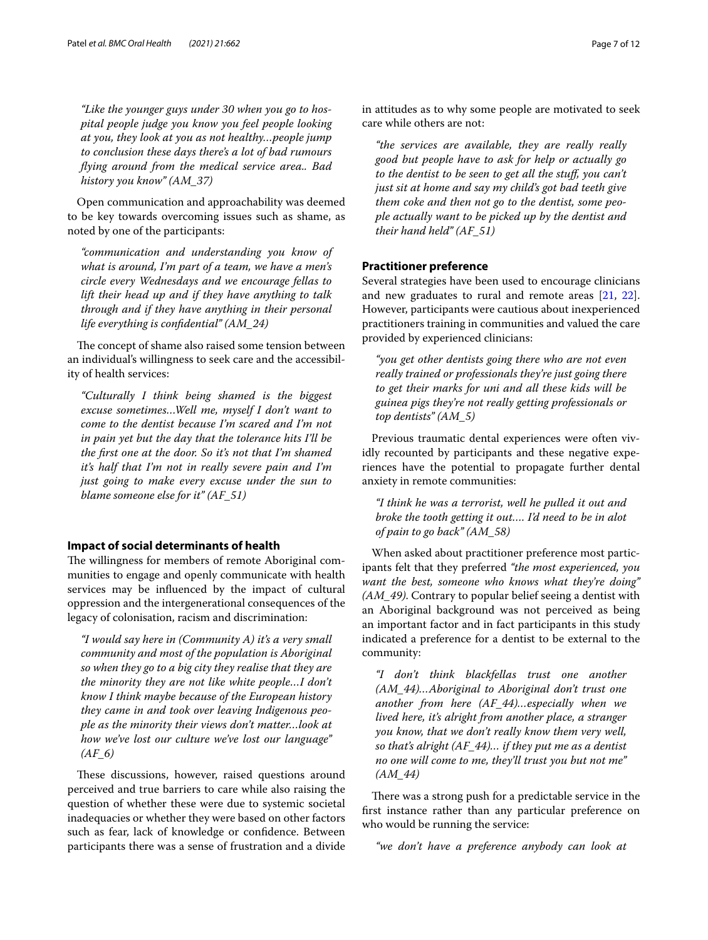*"Like the younger guys under 30 when you go to hospital people judge you know you feel people looking at you, they look at you as not healthy…people jump to conclusion these days there's a lot of bad rumours fying around from the medical service area.. Bad history you know" (AM\_37)*

Open communication and approachability was deemed to be key towards overcoming issues such as shame, as noted by one of the participants:

*"communication and understanding you know of what is around, I'm part of a team, we have a men's circle every Wednesdays and we encourage fellas to lift their head up and if they have anything to talk through and if they have anything in their personal life everything is confdential" (AM\_24)*

The concept of shame also raised some tension between an individual's willingness to seek care and the accessibility of health services:

*"Culturally I think being shamed is the biggest excuse sometimes…Well me, myself I don't want to come to the dentist because I'm scared and I'm not in pain yet but the day that the tolerance hits I'll be the frst one at the door. So it's not that I'm shamed it's half that I'm not in really severe pain and I'm just going to make every excuse under the sun to blame someone else for it" (AF\_51)*

#### **Impact of social determinants of health**

The willingness for members of remote Aboriginal communities to engage and openly communicate with health services may be infuenced by the impact of cultural oppression and the intergenerational consequences of the legacy of colonisation, racism and discrimination:

*"I would say here in (Community A) it's a very small community and most of the population is Aboriginal so when they go to a big city they realise that they are the minority they are not like white people…I don't know I think maybe because of the European history they came in and took over leaving Indigenous people as the minority their views don't matter…look at how we've lost our culture we've lost our language" (AF\_6)*

These discussions, however, raised questions around perceived and true barriers to care while also raising the question of whether these were due to systemic societal inadequacies or whether they were based on other factors such as fear, lack of knowledge or confdence. Between participants there was a sense of frustration and a divide in attitudes as to why some people are motivated to seek care while others are not:

*"the services are available, they are really really good but people have to ask for help or actually go to the dentist to be seen to get all the stuf, you can't just sit at home and say my child's got bad teeth give them coke and then not go to the dentist, some people actually want to be picked up by the dentist and their hand held" (AF\_51)*

## **Practitioner preference**

Several strategies have been used to encourage clinicians and new graduates to rural and remote areas [\[21,](#page-10-20) [22](#page-10-21)]. However, participants were cautious about inexperienced practitioners training in communities and valued the care provided by experienced clinicians:

*"you get other dentists going there who are not even really trained or professionals they're just going there to get their marks for uni and all these kids will be guinea pigs they're not really getting professionals or top dentists" (AM\_5)*

Previous traumatic dental experiences were often vividly recounted by participants and these negative experiences have the potential to propagate further dental anxiety in remote communities:

*"I think he was a terrorist, well he pulled it out and broke the tooth getting it out…. I'd need to be in alot of pain to go back" (AM\_58)*

When asked about practitioner preference most participants felt that they preferred *"the most experienced, you want the best, someone who knows what they're doing" (AM\_49)*. Contrary to popular belief seeing a dentist with an Aboriginal background was not perceived as being an important factor and in fact participants in this study indicated a preference for a dentist to be external to the community:

*"I don't think blackfellas trust one another (AM\_44)…Aboriginal to Aboriginal don't trust one another from here (AF\_44)…especially when we lived here, it's alright from another place, a stranger you know, that we don't really know them very well, so that's alright (AF\_44)… if they put me as a dentist no one will come to me, they'll trust you but not me" (AM\_44)*

There was a strong push for a predictable service in the frst instance rather than any particular preference on who would be running the service:

*"we don't have a preference anybody can look at*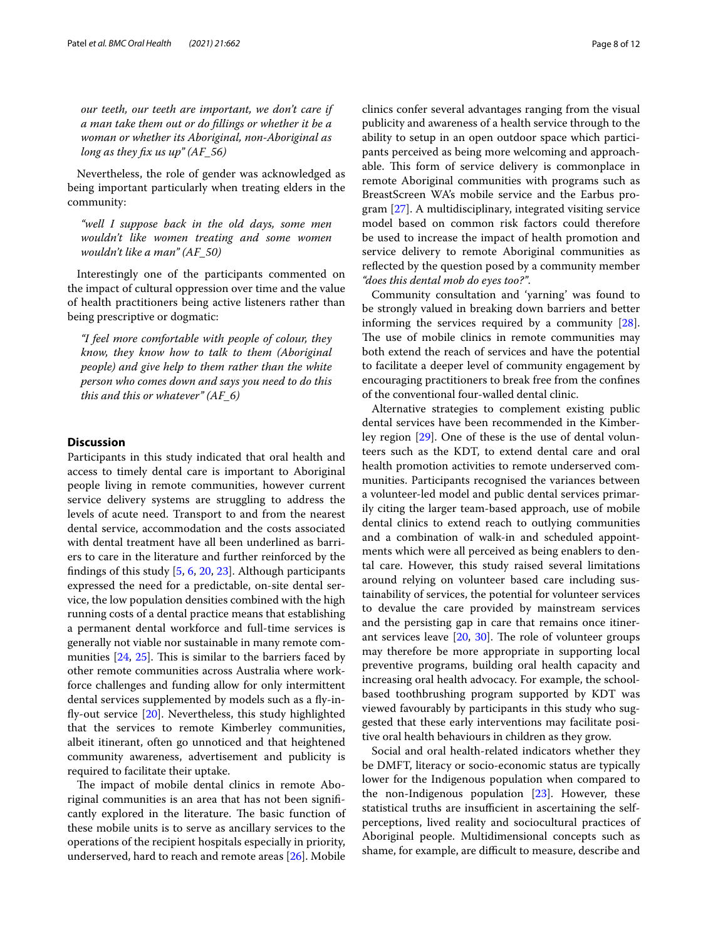*our teeth, our teeth are important, we don't care if a man take them out or do fllings or whether it be a woman or whether its Aboriginal, non-Aboriginal as long as they fx us up" (AF\_56)*

Nevertheless, the role of gender was acknowledged as being important particularly when treating elders in the community:

*"well I suppose back in the old days, some men wouldn't like women treating and some women wouldn't like a man" (AF\_50)*

Interestingly one of the participants commented on the impact of cultural oppression over time and the value of health practitioners being active listeners rather than being prescriptive or dogmatic:

*"I feel more comfortable with people of colour, they know, they know how to talk to them (Aboriginal people) and give help to them rather than the white person who comes down and says you need to do this this and this or whatever" (AF\_6)*

### **Discussion**

Participants in this study indicated that oral health and access to timely dental care is important to Aboriginal people living in remote communities, however current service delivery systems are struggling to address the levels of acute need. Transport to and from the nearest dental service, accommodation and the costs associated with dental treatment have all been underlined as barriers to care in the literature and further reinforced by the fndings of this study [\[5](#page-10-4), [6,](#page-10-5) [20,](#page-10-19) [23](#page-10-22)]. Although participants expressed the need for a predictable, on-site dental service, the low population densities combined with the high running costs of a dental practice means that establishing a permanent dental workforce and full-time services is generally not viable nor sustainable in many remote communities  $[24, 25]$  $[24, 25]$  $[24, 25]$  $[24, 25]$ . This is similar to the barriers faced by other remote communities across Australia where workforce challenges and funding allow for only intermittent dental services supplemented by models such as a fy-infy-out service [[20](#page-10-19)]. Nevertheless, this study highlighted that the services to remote Kimberley communities, albeit itinerant, often go unnoticed and that heightened community awareness, advertisement and publicity is required to facilitate their uptake.

The impact of mobile dental clinics in remote Aboriginal communities is an area that has not been signifcantly explored in the literature. The basic function of these mobile units is to serve as ancillary services to the operations of the recipient hospitals especially in priority, underserved, hard to reach and remote areas [[26\]](#page-10-25). Mobile clinics confer several advantages ranging from the visual publicity and awareness of a health service through to the ability to setup in an open outdoor space which participants perceived as being more welcoming and approachable. This form of service delivery is commonplace in remote Aboriginal communities with programs such as BreastScreen WA's mobile service and the Earbus program [[27\]](#page-10-26). A multidisciplinary, integrated visiting service model based on common risk factors could therefore be used to increase the impact of health promotion and service delivery to remote Aboriginal communities as refected by the question posed by a community member *"does this dental mob do eyes too?"*.

Community consultation and 'yarning' was found to be strongly valued in breaking down barriers and better informing the services required by a community [\[28](#page-10-27)]. The use of mobile clinics in remote communities may both extend the reach of services and have the potential to facilitate a deeper level of community engagement by encouraging practitioners to break free from the confnes of the conventional four-walled dental clinic.

Alternative strategies to complement existing public dental services have been recommended in the Kimberley region [[29](#page-10-28)]. One of these is the use of dental volunteers such as the KDT, to extend dental care and oral health promotion activities to remote underserved communities. Participants recognised the variances between a volunteer-led model and public dental services primarily citing the larger team-based approach, use of mobile dental clinics to extend reach to outlying communities and a combination of walk-in and scheduled appointments which were all perceived as being enablers to dental care. However, this study raised several limitations around relying on volunteer based care including sustainability of services, the potential for volunteer services to devalue the care provided by mainstream services and the persisting gap in care that remains once itinerant services leave  $[20, 30]$  $[20, 30]$  $[20, 30]$ . The role of volunteer groups may therefore be more appropriate in supporting local preventive programs, building oral health capacity and increasing oral health advocacy. For example, the schoolbased toothbrushing program supported by KDT was viewed favourably by participants in this study who suggested that these early interventions may facilitate positive oral health behaviours in children as they grow.

Social and oral health-related indicators whether they be DMFT, literacy or socio-economic status are typically lower for the Indigenous population when compared to the non-Indigenous population  $[23]$  $[23]$ . However, these statistical truths are insufficient in ascertaining the selfperceptions, lived reality and sociocultural practices of Aboriginal people. Multidimensional concepts such as shame, for example, are difficult to measure, describe and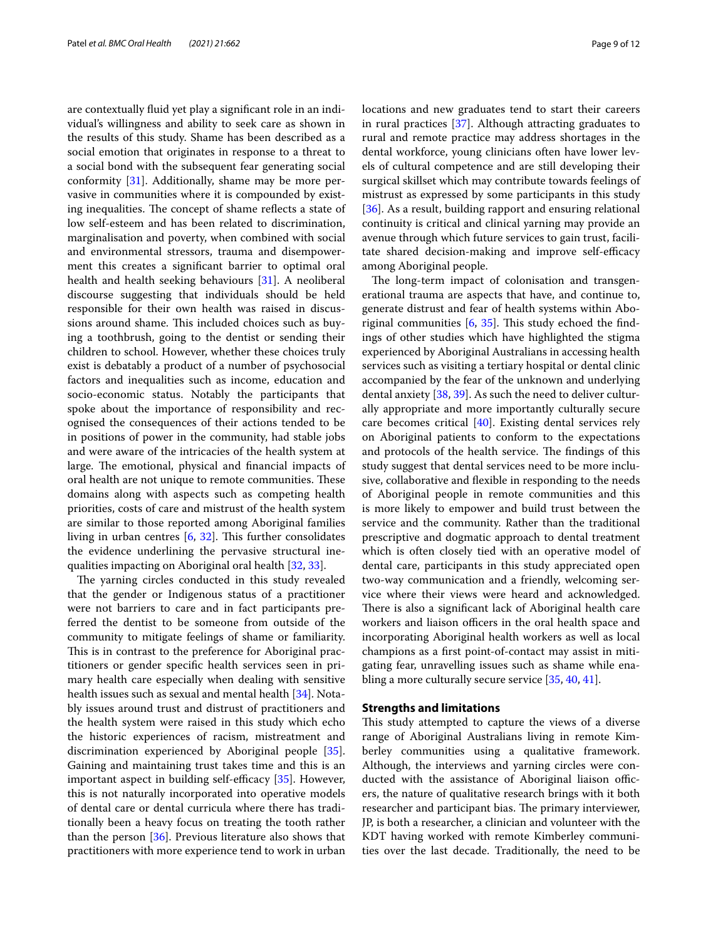are contextually fuid yet play a signifcant role in an individual's willingness and ability to seek care as shown in the results of this study. Shame has been described as a social emotion that originates in response to a threat to a social bond with the subsequent fear generating social conformity [\[31\]](#page-10-30). Additionally, shame may be more pervasive in communities where it is compounded by existing inequalities. The concept of shame reflects a state of low self-esteem and has been related to discrimination, marginalisation and poverty, when combined with social and environmental stressors, trauma and disempowerment this creates a signifcant barrier to optimal oral health and health seeking behaviours [\[31\]](#page-10-30). A neoliberal discourse suggesting that individuals should be held responsible for their own health was raised in discussions around shame. This included choices such as buying a toothbrush, going to the dentist or sending their children to school. However, whether these choices truly exist is debatably a product of a number of psychosocial factors and inequalities such as income, education and socio-economic status. Notably the participants that spoke about the importance of responsibility and recognised the consequences of their actions tended to be in positions of power in the community, had stable jobs and were aware of the intricacies of the health system at large. The emotional, physical and financial impacts of oral health are not unique to remote communities. These domains along with aspects such as competing health priorities, costs of care and mistrust of the health system are similar to those reported among Aboriginal families living in urban centres  $[6, 32]$  $[6, 32]$  $[6, 32]$  $[6, 32]$  $[6, 32]$ . This further consolidates the evidence underlining the pervasive structural inequalities impacting on Aboriginal oral health [[32,](#page-10-31) [33](#page-10-32)].

The yarning circles conducted in this study revealed that the gender or Indigenous status of a practitioner were not barriers to care and in fact participants preferred the dentist to be someone from outside of the community to mitigate feelings of shame or familiarity. This is in contrast to the preference for Aboriginal practitioners or gender specifc health services seen in primary health care especially when dealing with sensitive health issues such as sexual and mental health [[34\]](#page-10-33). Notably issues around trust and distrust of practitioners and the health system were raised in this study which echo the historic experiences of racism, mistreatment and discrimination experienced by Aboriginal people [\[35](#page-10-34)]. Gaining and maintaining trust takes time and this is an important aspect in building self-efficacy  $[35]$  $[35]$  $[35]$ . However, this is not naturally incorporated into operative models of dental care or dental curricula where there has traditionally been a heavy focus on treating the tooth rather than the person [\[36\]](#page-10-35). Previous literature also shows that practitioners with more experience tend to work in urban locations and new graduates tend to start their careers in rural practices [\[37\]](#page-10-36). Although attracting graduates to rural and remote practice may address shortages in the dental workforce, young clinicians often have lower levels of cultural competence and are still developing their surgical skillset which may contribute towards feelings of mistrust as expressed by some participants in this study [[36\]](#page-10-35). As a result, building rapport and ensuring relational continuity is critical and clinical yarning may provide an avenue through which future services to gain trust, facilitate shared decision-making and improve self-efficacy among Aboriginal people.

The long-term impact of colonisation and transgenerational trauma are aspects that have, and continue to, generate distrust and fear of health systems within Aboriginal communities  $[6, 35]$  $[6, 35]$  $[6, 35]$ . This study echoed the findings of other studies which have highlighted the stigma experienced by Aboriginal Australians in accessing health services such as visiting a tertiary hospital or dental clinic accompanied by the fear of the unknown and underlying dental anxiety [\[38](#page-10-37), [39](#page-10-38)]. As such the need to deliver culturally appropriate and more importantly culturally secure care becomes critical [\[40](#page-10-39)]. Existing dental services rely on Aboriginal patients to conform to the expectations and protocols of the health service. The findings of this study suggest that dental services need to be more inclusive, collaborative and fexible in responding to the needs of Aboriginal people in remote communities and this is more likely to empower and build trust between the service and the community. Rather than the traditional prescriptive and dogmatic approach to dental treatment which is often closely tied with an operative model of dental care, participants in this study appreciated open two-way communication and a friendly, welcoming service where their views were heard and acknowledged. There is also a significant lack of Aboriginal health care workers and liaison officers in the oral health space and incorporating Aboriginal health workers as well as local champions as a frst point-of-contact may assist in mitigating fear, unravelling issues such as shame while enabling a more culturally secure service [[35,](#page-10-34) [40](#page-10-39), [41](#page-10-40)].

## **Strengths and limitations**

This study attempted to capture the views of a diverse range of Aboriginal Australians living in remote Kimberley communities using a qualitative framework. Although, the interviews and yarning circles were conducted with the assistance of Aboriginal liaison officers, the nature of qualitative research brings with it both researcher and participant bias. The primary interviewer, JP, is both a researcher, a clinician and volunteer with the KDT having worked with remote Kimberley communities over the last decade. Traditionally, the need to be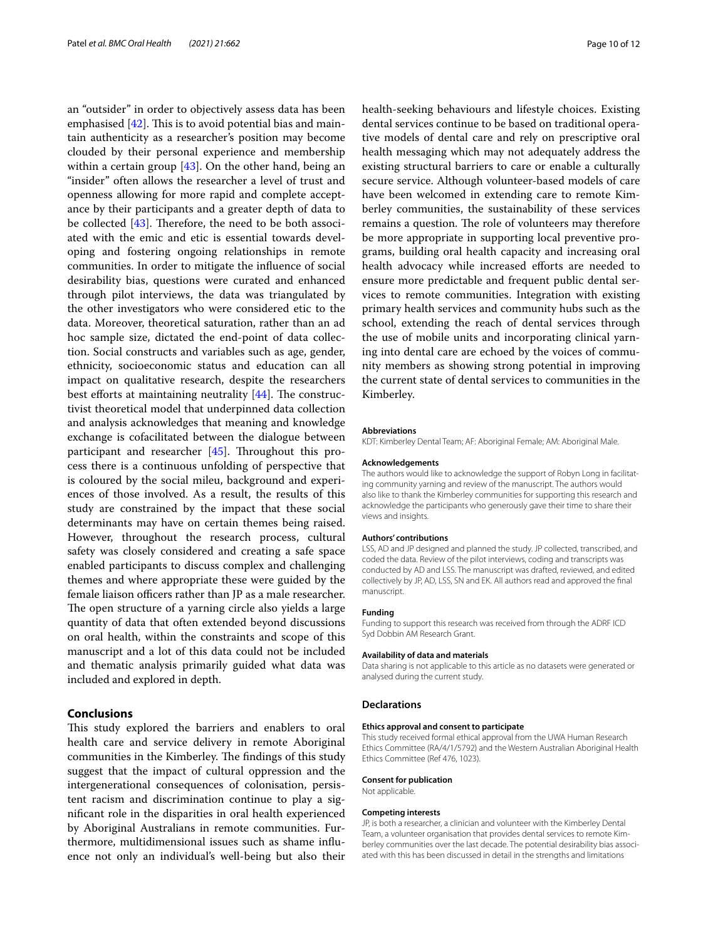an "outsider" in order to objectively assess data has been emphasised  $[42]$  $[42]$ . This is to avoid potential bias and maintain authenticity as a researcher's position may become clouded by their personal experience and membership within a certain group [[43\]](#page-10-42). On the other hand, being an "insider" often allows the researcher a level of trust and openness allowing for more rapid and complete acceptance by their participants and a greater depth of data to be collected  $[43]$  $[43]$ . Therefore, the need to be both associated with the emic and etic is essential towards developing and fostering ongoing relationships in remote communities. In order to mitigate the infuence of social desirability bias, questions were curated and enhanced through pilot interviews, the data was triangulated by the other investigators who were considered etic to the data. Moreover, theoretical saturation, rather than an ad hoc sample size, dictated the end-point of data collection. Social constructs and variables such as age, gender, ethnicity, socioeconomic status and education can all impact on qualitative research, despite the researchers best efforts at maintaining neutrality  $[44]$  $[44]$ . The constructivist theoretical model that underpinned data collection and analysis acknowledges that meaning and knowledge exchange is cofacilitated between the dialogue between participant and researcher  $[45]$  $[45]$ . Throughout this process there is a continuous unfolding of perspective that is coloured by the social mileu, background and experiences of those involved. As a result, the results of this study are constrained by the impact that these social determinants may have on certain themes being raised. However, throughout the research process, cultural safety was closely considered and creating a safe space enabled participants to discuss complex and challenging themes and where appropriate these were guided by the female liaison officers rather than JP as a male researcher. The open structure of a yarning circle also yields a large quantity of data that often extended beyond discussions on oral health, within the constraints and scope of this manuscript and a lot of this data could not be included and thematic analysis primarily guided what data was included and explored in depth.

## **Conclusions**

This study explored the barriers and enablers to oral health care and service delivery in remote Aboriginal communities in the Kimberley. The findings of this study suggest that the impact of cultural oppression and the intergenerational consequences of colonisation, persistent racism and discrimination continue to play a signifcant role in the disparities in oral health experienced by Aboriginal Australians in remote communities. Furthermore, multidimensional issues such as shame infuence not only an individual's well-being but also their health-seeking behaviours and lifestyle choices. Existing dental services continue to be based on traditional operative models of dental care and rely on prescriptive oral health messaging which may not adequately address the existing structural barriers to care or enable a culturally secure service. Although volunteer-based models of care have been welcomed in extending care to remote Kimberley communities, the sustainability of these services remains a question. The role of volunteers may therefore be more appropriate in supporting local preventive programs, building oral health capacity and increasing oral health advocacy while increased efforts are needed to ensure more predictable and frequent public dental services to remote communities. Integration with existing primary health services and community hubs such as the school, extending the reach of dental services through the use of mobile units and incorporating clinical yarning into dental care are echoed by the voices of community members as showing strong potential in improving the current state of dental services to communities in the Kimberley.

#### **Abbreviations**

KDT: Kimberley Dental Team; AF: Aboriginal Female; AM: Aboriginal Male.

#### **Acknowledgements**

The authors would like to acknowledge the support of Robyn Long in facilitating community yarning and review of the manuscript. The authors would also like to thank the Kimberley communities for supporting this research and acknowledge the participants who generously gave their time to share their views and insights.

#### **Authors' contributions**

LSS, AD and JP designed and planned the study. JP collected, transcribed, and coded the data. Review of the pilot interviews, coding and transcripts was conducted by AD and LSS. The manuscript was drafted, reviewed, and edited collectively by JP, AD, LSS, SN and EK. All authors read and approved the fnal manuscript.

#### **Funding**

Funding to support this research was received from through the ADRF ICD Syd Dobbin AM Research Grant.

#### **Availability of data and materials**

Data sharing is not applicable to this article as no datasets were generated or analysed during the current study.

#### **Declarations**

#### **Ethics approval and consent to participate**

This study received formal ethical approval from the UWA Human Research Ethics Committee (RA/4/1/5792) and the Western Australian Aboriginal Health Ethics Committee (Ref 476, 1023).

#### **Consent for publication**

Not applicable.

#### **Competing interests**

JP, is both a researcher, a clinician and volunteer with the Kimberley Dental Team, a volunteer organisation that provides dental services to remote Kim berley communities over the last decade. The potential desirability bias associated with this has been discussed in detail in the strengths and limitations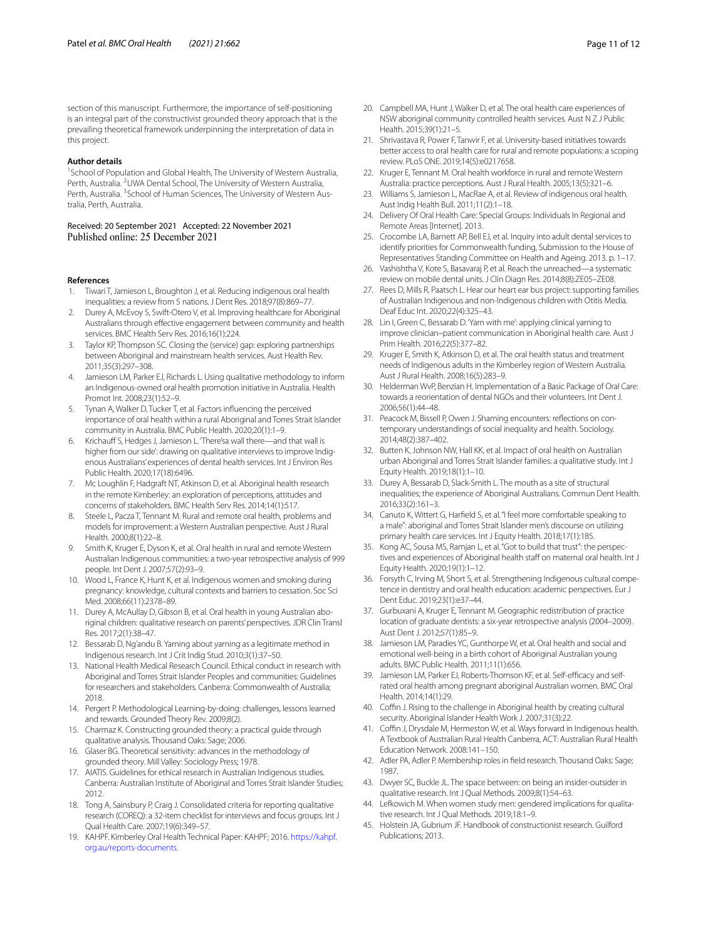section of this manuscript. Furthermore, the importance of self-positioning is an integral part of the constructivist grounded theory approach that is the prevailing theoretical framework underpinning the interpretation of data in this project.

#### **Author details**

<sup>1</sup> School of Population and Global Health, The University of Western Australia, Perth, Australia. <sup>2</sup> UWA Dental School, The University of Western Australia, Perth, Australia. <sup>3</sup>School of Human Sciences, The University of Western Australia, Perth, Australia.

# Received: 20 September 2021 Accepted: 22 November 2021

#### **References**

- <span id="page-10-0"></span>1. Tiwari T, Jamieson L, Broughton J, et al. Reducing indigenous oral health inequalities: a review from 5 nations. J Dent Res. 2018;97(8):869–77.
- <span id="page-10-1"></span>2. Durey A, McEvoy S, Swift-Otero V, et al. Improving healthcare for Aboriginal Australians through efective engagement between community and health services. BMC Health Serv Res. 2016;16(1):224.
- <span id="page-10-2"></span>Taylor KP, Thompson SC. Closing the (service) gap: exploring partnerships between Aboriginal and mainstream health services. Aust Health Rev. 2011;35(3):297–308.
- <span id="page-10-3"></span>4. Jamieson LM, Parker EJ, Richards L. Using qualitative methodology to inform an Indigenous-owned oral health promotion initiative in Australia. Health Promot Int. 2008;23(1):52–9.
- <span id="page-10-4"></span>5. Tynan A, Walker D, Tucker T, et al. Factors infuencing the perceived importance of oral health within a rural Aboriginal and Torres Strait Islander community in Australia. BMC Public Health. 2020;20(1):1–9.
- <span id="page-10-5"></span>6. Krichauff S, Hedges J, Jamieson L. 'There'sa wall there-and that wall is higher from our side': drawing on qualitative interviews to improve Indigenous Australians' experiences of dental health services. Int J Environ Res Public Health. 2020;17(18):6496.
- <span id="page-10-6"></span>7. Mc Loughlin F, Hadgraft NT, Atkinson D, et al. Aboriginal health research in the remote Kimberley: an exploration of perceptions, attitudes and concerns of stakeholders. BMC Health Serv Res. 2014;14(1):517.
- <span id="page-10-7"></span>8. Steele L, Pacza T, Tennant M. Rural and remote oral health, problems and models for improvement: a Western Australian perspective. Aust J Rural Health. 2000;8(1):22–8.
- <span id="page-10-8"></span>Smith K, Kruger E, Dyson K, et al. Oral health in rural and remote Western Australian Indigenous communities: a two-year retrospective analysis of 999 people. Int Dent J. 2007;57(2):93–9.
- <span id="page-10-9"></span>10. Wood L, France K, Hunt K, et al. Indigenous women and smoking during pregnancy: knowledge, cultural contexts and barriers to cessation. Soc Sci Med. 2008;66(11):2378–89.
- <span id="page-10-10"></span>11. Durey A, McAullay D, Gibson B, et al. Oral health in young Australian aboriginal children: qualitative research on parents' perspectives. JDR Clin Transl Res. 2017;2(1):38–47.
- <span id="page-10-11"></span>12. Bessarab D, Ng'andu B. Yarning about yarning as a legitimate method in Indigenous research. Int J Crit Indig Stud. 2010;3(1):37–50.
- <span id="page-10-12"></span>13. National Health Medical Research Council. Ethical conduct in research with Aboriginal and Torres Strait Islander Peoples and communities: Guidelines for researchers and stakeholders. Canberra: Commonwealth of Australia; 2018.
- <span id="page-10-13"></span>14. Pergert P. Methodological Learning-by-doing: challenges, lessons learned and rewards. Grounded Theory Rev. 2009;8(2).
- <span id="page-10-14"></span>15. Charmaz K. Constructing grounded theory: a practical guide through qualitative analysis. Thousand Oaks: Sage; 2006.
- <span id="page-10-15"></span>16. Glaser BG. Theoretical sensitivity: advances in the methodology of grounded theory. Mill Valley: Sociology Press; 1978.
- <span id="page-10-16"></span>17. AIATIS. Guidelines for ethical research in Australian Indigenous studies. Canberra: Australian Institute of Aboriginal and Torres Strait Islander Studies; 2012.
- <span id="page-10-17"></span>18. Tong A, Sainsbury P, Craig J. Consolidated criteria for reporting qualitative research (COREQ): a 32-item checklist for interviews and focus groups. Int J Qual Health Care. 2007;19(6):349–57.
- <span id="page-10-18"></span>19. KAHPF. Kimberley Oral Health Technical Paper: KAHPF; 2016. [https://kahpf.](https://kahpf.org.au/reports-documents) [org.au/reports-documents.](https://kahpf.org.au/reports-documents)
- <span id="page-10-19"></span>20. Campbell MA, Hunt J, Walker D, et al. The oral health care experiences of NSW aboriginal community controlled health services. Aust N Z J Public Health. 2015;39(1):21–5.
- <span id="page-10-20"></span>21. Shrivastava R, Power F, Tanwir F, et al. University-based initiatives towards better access to oral health care for rural and remote populations: a scoping review. PLoS ONE. 2019;14(5):e0217658.
- <span id="page-10-21"></span>22. Kruger E, Tennant M. Oral health workforce in rural and remote Western Australia: practice perceptions. Aust J Rural Health. 2005;13(5):321–6.
- <span id="page-10-22"></span>23. Williams S, Jamieson L, MacRae A, et al. Review of indigenous oral health. Aust Indig Health Bull. 2011;11(2):1–18.
- <span id="page-10-23"></span>24. Delivery Of Oral Health Care: Special Groups: Individuals In Regional and Remote Areas [Internet]. 2013.
- <span id="page-10-24"></span>25. Crocombe LA, Barnett AP, Bell EJ, et al. Inquiry into adult dental services to identify priorities for Commonwealth funding, Submission to the House of Representatives Standing Committee on Health and Ageing. 2013. p. 1–17.
- <span id="page-10-25"></span>26. Vashishtha V, Kote S, Basavaraj P, et al. Reach the unreached—a systematic review on mobile dental units. J Clin Diagn Res. 2014;8(8):ZE05–ZE08.
- <span id="page-10-26"></span>27. Rees D, Mills R, Paatsch L. Hear our heart ear bus project: supporting families of Australian Indigenous and non-Indigenous children with Otitis Media. Deaf Educ Int. 2020;22(4):325–43.
- <span id="page-10-27"></span>28. Lin I, Green C, Bessarab D. 'Yarn with me': applying clinical yarning to improve clinician–patient communication in Aboriginal health care. Aust J Prim Health. 2016;22(5):377–82.
- <span id="page-10-28"></span>29. Kruger E, Smith K, Atkinson D, et al. The oral health status and treatment needs of Indigenous adults in the Kimberley region of Western Australia. Aust J Rural Health. 2008;16(5):283–9.
- <span id="page-10-29"></span>30. Helderman WvP, Benzian H. Implementation of a Basic Package of Oral Care: towards a reorientation of dental NGOs and their volunteers. Int Dent J. 2006;56(1):44–48.
- <span id="page-10-30"></span>31. Peacock M, Bissell P, Owen J. Shaming encounters: reflections on contemporary understandings of social inequality and health. Sociology. 2014;48(2):387–402.
- <span id="page-10-31"></span>32. Butten K, Johnson NW, Hall KK, et al. Impact of oral health on Australian urban Aboriginal and Torres Strait Islander families: a qualitative study. Int J Equity Health. 2019;18(1):1–10.
- <span id="page-10-32"></span>33. Durey A, Bessarab D, Slack-Smith L. The mouth as a site of structural inequalities; the experience of Aboriginal Australians. Commun Dent Health. 2016;33(2):161–3.
- <span id="page-10-33"></span>34. Canuto K, Wittert G, Harfeld S, et al. "I feel more comfortable speaking to a male": aboriginal and Torres Strait Islander men's discourse on utilizing primary health care services. Int J Equity Health. 2018;17(1):185.
- <span id="page-10-34"></span>35. Kong AC, Sousa MS, Ramjan L, et al. "Got to build that trust": the perspec‑ tives and experiences of Aboriginal health staff on maternal oral health. Int J Equity Health. 2020;19(1):1–12.
- <span id="page-10-35"></span>36. Forsyth C, Irving M, Short S, et al. Strengthening Indigenous cultural competence in dentistry and oral health education: academic perspectives. Eur J Dent Educ. 2019;23(1):e37–44.
- <span id="page-10-36"></span>37. Gurbuxani A, Kruger E, Tennant M. Geographic redistribution of practice location of graduate dentists: a six-year retrospective analysis (2004–2009). Aust Dent J. 2012;57(1):85–9.
- <span id="page-10-37"></span>38. Jamieson LM, Paradies YC, Gunthorpe W, et al. Oral health and social and emotional well-being in a birth cohort of Aboriginal Australian young adults. BMC Public Health. 2011;11(1):656.
- <span id="page-10-38"></span>39. Jamieson LM, Parker EJ, Roberts-Thomson KF, et al. Self-efficacy and selfrated oral health among pregnant aboriginal Australian women. BMC Oral Health. 2014;14(1):29.
- <span id="page-10-39"></span>40. Coffin J. Rising to the challenge in Aboriginal health by creating cultural security. Aboriginal Islander Health Work J. 2007;31(3):22.
- <span id="page-10-40"></span>41. Coffin J, Drysdale M, Hermeston W, et al. Ways forward in Indigenous health. A Textbook of Australian Rural Health Canberra, ACT: Australian Rural Health Education Network. 2008:141–150.
- <span id="page-10-41"></span>42. Adler PA, Adler P. Membership roles in feld research. Thousand Oaks: Sage; 1987.
- <span id="page-10-42"></span>43. Dwyer SC, Buckle JL. The space between: on being an insider-outsider in qualitative research. Int J Qual Methods. 2009;8(1):54–63.
- <span id="page-10-43"></span>44. Lefkowich M. When women study men: gendered implications for qualitative research. Int J Qual Methods. 2019;18:1–9.
- <span id="page-10-44"></span>45. Holstein JA, Gubrium JF. Handbook of constructionist research. Guilford Publications; 2013.